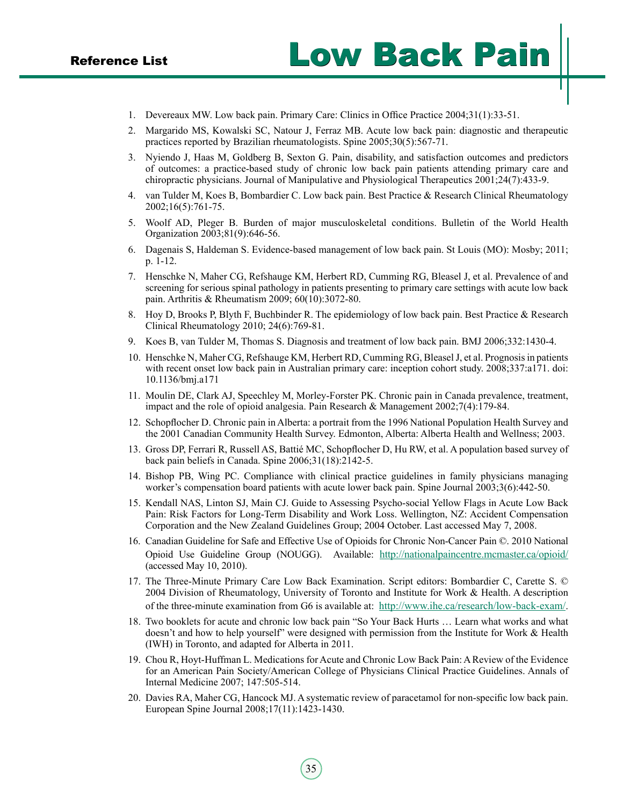- Reference List Low Back Pain
	- 1. Devereaux MW. Low back pain. Primary Care: Clinics in Office Practice 2004;31(1):33-51.
	- 2. Margarido MS, Kowalski SC, Natour J, Ferraz MB. Acute low back pain: diagnostic and therapeutic practices reported by Brazilian rheumatologists. Spine 2005;30(5):567-71.
	- 3. Nyiendo J, Haas M, Goldberg B, Sexton G. Pain, disability, and satisfaction outcomes and predictors of outcomes: a practice-based study of chronic low back pain patients attending primary care and chiropractic physicians. Journal of Manipulative and Physiological Therapeutics 2001;24(7):433-9.
	- 4. van Tulder M, Koes B, Bombardier C. Low back pain. Best Practice & Research Clinical Rheumatology 2002;16(5):761-75.
	- 5. Woolf AD, Pleger B. Burden of major musculoskeletal conditions. Bulletin of the World Health Organization 2003;81(9):646-56.
	- 6. Dagenais S, Haldeman S. Evidence-based management of low back pain. St Louis (MO): Mosby; 2011; p. 1-12.
	- 7. Henschke N, Maher CG, Refshauge KM, Herbert RD, Cumming RG, Bleasel J, et al. Prevalence of and screening for serious spinal pathology in patients presenting to primary care settings with acute low back pain. Arthritis & Rheumatism 2009; 60(10):3072-80.
	- 8. Hoy D, Brooks P, Blyth F, Buchbinder R. The epidemiology of low back pain. Best Practice & Research Clinical Rheumatology 2010; 24(6):769-81.
	- 9. Koes B, van Tulder M, Thomas S. Diagnosis and treatment of low back pain. BMJ 2006;332:1430-4.
	- 10. Henschke N, Maher CG, Refshauge KM, Herbert RD, Cumming RG, Bleasel J, et al. Prognosis in patients with recent onset low back pain in Australian primary care: inception cohort study. 2008;337:a171. doi: 10.1136/bmj.a171
	- 11. Moulin DE, Clark AJ, Speechley M, Morley-Forster PK. Chronic pain in Canada prevalence, treatment, impact and the role of opioid analgesia. Pain Research & Management 2002;7(4):179-84.
	- 12. Schopflocher D. Chronic pain in Alberta: a portrait from the 1996 National Population Health Survey and the 2001 Canadian Community Health Survey. Edmonton, Alberta: Alberta Health and Wellness; 2003.
	- 13. Gross DP, Ferrari R, Russell AS, Battié MC, Schopflocher D, Hu RW, et al. A population based survey of back pain beliefs in Canada. Spine 2006;31(18):2142-5.
	- 14. Bishop PB, Wing PC. Compliance with clinical practice guidelines in family physicians managing worker's compensation board patients with acute lower back pain. Spine Journal 2003;3(6):442-50.
	- 15. Kendall NAS, Linton SJ, Main CJ. Guide to Assessing Psycho-social Yellow Flags in Acute Low Back Pain: Risk Factors for Long-Term Disability and Work Loss. Wellington, NZ: Accident Compensation Corporation and the New Zealand Guidelines Group; 2004 October. Last accessed May 7, 2008.
	- 16. Canadian Guideline for Safe and Effective Use of Opioids for Chronic Non-Cancer Pain ©. 2010 National Opioid Use Guideline Group (NOUGG). Available: <http://nationalpaincentre.mcmaster.ca/opioid/> (accessed May 10, 2010).
	- 17. The Three-Minute Primary Care Low Back Examination. Script editors: Bombardier C, Carette S. © 2004 Division of Rheumatology, University of Toronto and Institute for Work & Health. A description of the three-minute examination from G6 is available at: <http://www.ihe.ca/research/low-back-exam/>.
	- 18. Two booklets for acute and chronic low back pain "So Your Back Hurts … Learn what works and what doesn't and how to help yourself" were designed with permission from the Institute for Work & Health (IWH) in Toronto, and adapted for Alberta in 2011.
	- 19. Chou R, Hoyt-Huffman L. Medications for Acute and Chronic Low Back Pain: A Review of the Evidence for an American Pain Society/American College of Physicians Clinical Practice Guidelines. Annals of Internal Medicine 2007; 147:505-514.
	- 20. Davies RA, Maher CG, Hancock MJ. A systematic review of paracetamol for non-specific low back pain. European Spine Journal 2008;17(11):1423-1430.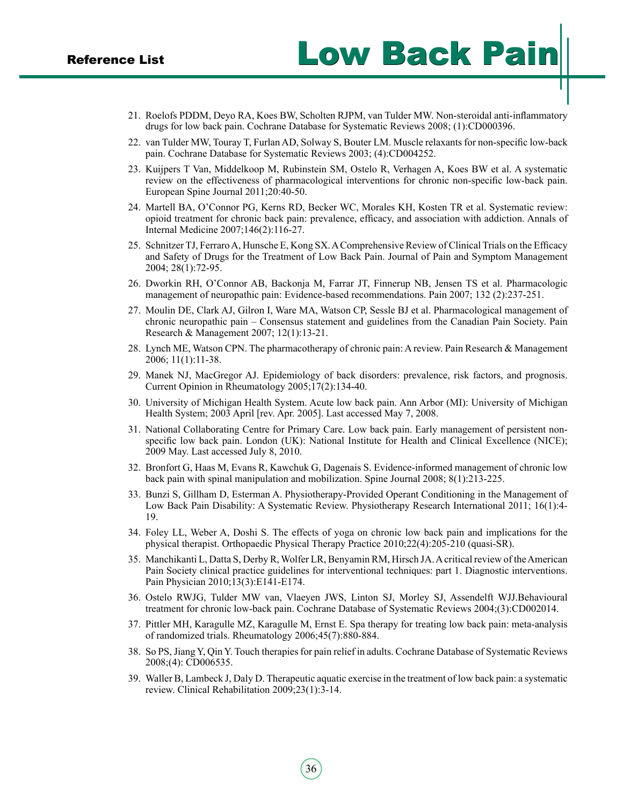- 21. Roelofs PDDM, Deyo RA, Koes BW, Scholten RJPM, van Tulder MW. Non-steroidal anti-inflammatory drugs for low back pain. Cochrane Database for Systematic Reviews 2008; (1):CD000396.
- 22. van Tulder MW, Touray T, Furlan AD, Solway S, Bouter LM. Muscle relaxants for non-specific low-back pain. Cochrane Database for Systematic Reviews 2003; (4):CD004252.
- 23. Kuijpers T Van, Middelkoop M, Rubinstein SM, Ostelo R, Verhagen A, Koes BW et al. A systematic review on the effectiveness of pharmacological interventions for chronic non-specific low-back pain. European Spine Journal 2011;20:40-50.
- 24. Martell BA, O'Connor PG, Kerns RD, Becker WC, Morales KH, Kosten TR et al. Systematic review: opioid treatment for chronic back pain: prevalence, efficacy, and association with addiction. Annals of Internal Medicine 2007;146(2):116-27.
- 25. Schnitzer TJ, Ferraro A, Hunsche E, Kong SX.AComprehensive Review of Clinical Trials on the Efficacy and Safety of Drugs for the Treatment of Low Back Pain. Journal of Pain and Symptom Management 2004; 28(1):72-95.
- 26. Dworkin RH, O'Connor AB, Backonja M, Farrar JT, Finnerup NB, Jensen TS et al. Pharmacologic management of neuropathic pain: Evidence-based recommendations. Pain 2007; 132 (2):237-251.
- 27. Moulin DE, Clark AJ, Gilron I, Ware MA, Watson CP, Sessle BJ et al. Pharmacological management of chronic neuropathic pain – Consensus statement and guidelines from the Canadian Pain Society. Pain Research & Management 2007; 12(1):13-21.
- 28. Lynch ME, Watson CPN. The pharmacotherapy of chronic pain: A review. Pain Research & Management 2006; 11(1):11-38.
- 29. Manek NJ, MacGregor AJ. Epidemiology of back disorders: prevalence, risk factors, and prognosis. Current Opinion in Rheumatology 2005;17(2):134-40.
- 30. University of Michigan Health System. Acute low back pain. Ann Arbor (MI): University of Michigan Health System; 2003 April [rev. Apr. 2005]. Last accessed May 7, 2008.
- 31. National Collaborating Centre for Primary Care. Low back pain. Early management of persistent nonspecific low back pain. London (UK): National Institute for Health and Clinical Excellence (NICE); 2009 May. Last accessed July 8, 2010.
- 32. Bronfort G, Haas M, Evans R, Kawchuk G, Dagenais S. Evidence-informed management of chronic low back pain with spinal manipulation and mobilization. Spine Journal 2008; 8(1):213-225.
- 33. Bunzi S, Gillham D, Esterman A. Physiotherapy-Provided Operant Conditioning in the Management of Low Back Pain Disability: A Systematic Review. Physiotherapy Research International 2011; 16(1):4- 19.
- 34. Foley LL, Weber A, Doshi S. The effects of yoga on chronic low back pain and implications for the physical therapist. Orthopaedic Physical Therapy Practice 2010;22(4):205-210 (quasi-SR).
- 35. Manchikanti L, Datta S, Derby R, Wolfer LR, Benyamin RM, Hirsch JA. Acritical review of theAmerican Pain Society clinical practice guidelines for interventional techniques: part 1. Diagnostic interventions. Pain Physician 2010;13(3):E141-E174.
- 36. Ostelo RWJG, Tulder MW van, Vlaeyen JWS, Linton SJ, Morley SJ, Assendelft WJJ.Behavioural treatment for chronic low-back pain. Cochrane Database of Systematic Reviews 2004;(3):CD002014.
- 37. Pittler MH, Karagulle MZ, Karagulle M, Ernst E. Spa therapy for treating low back pain: meta-analysis of randomized trials. Rheumatology 2006;45(7):880-884.
- 38. So PS, Jiang Y, Qin Y. Touch therapies for pain relief in adults. Cochrane Database of Systematic Reviews 2008;(4): CD006535.
- 39. Waller B, Lambeck J, Daly D. Therapeutic aquatic exercise in the treatment of low back pain: a systematic review. Clinical Rehabilitation 2009;23(1):3-14.